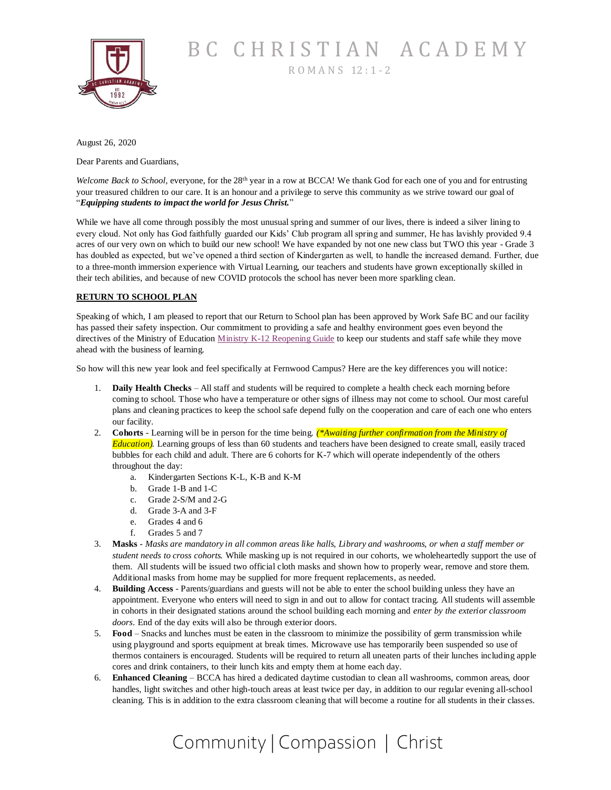

BC CHRISTIAN ACADEMY <sup>R</sup> <sup>O</sup> <sup>M</sup> <sup>A</sup> <sup>N</sup> S 12 : 1 - <sup>2</sup>

August 26, 2020

Dear Parents and Guardians,

*Welcome Back to School,* everyone, for the 28<sup>th</sup> year in a row at BCCA! We thank God for each one of you and for entrusting your treasured children to our care. It is an honour and a privilege to serve this community as we strive toward our goal of "*Equipping students to impact the world for Jesus Christ.*"

While we have all come through possibly the most unusual spring and summer of our lives, there is indeed a silver lining to every cloud. Not only has God faithfully guarded our Kids' Club program all spring and summer, He has lavishly provided 9.4 acres of our very own on which to build our new school! We have expanded by not one new class but TWO this year - Grade 3 has doubled as expected, but we've opened a third section of Kindergarten as well, to handle the increased demand. Further, due to a three-month immersion experience with Virtual Learning, our teachers and students have grown exceptionally skilled in their tech abilities, and because of new COVID protocols the school has never been more sparkling clean.

### **RETURN TO SCHOOL PLAN**

Speaking of which, I am pleased to report that our Return to School plan has been approved by Work Safe BC and our facility has passed their safety inspection. Our commitment to providing a safe and healthy environment goes even beyond the directives of the Ministry of Education [Ministry K-12 Reopening Guide](https://www2.gov.bc.ca/assets/gov/education/administration/kindergarten-to-grade-12/safe-caring-orderly/k-12-education-restart-plan.pdf) to keep our students and staff safe while they move ahead with the business of learning.

So how will this new year look and feel specifically at Fernwood Campus? Here are the key differences you will notice:

- 1. **Daily Health Checks** All staff and students will be required to complete a health check each morning before coming to school. Those who have a temperature or other signs of illness may not come to school. Our most careful plans and cleaning practices to keep the school safe depend fully on the cooperation and care of each one who enters our facility.
- 2. **Cohorts** Learning will be in person for the time being. *(\*Awaiting further confirmation from the Ministry of Education).* Learning groups of less than 60 students and teachers have been designed to create small, easily traced bubbles for each child and adult. There are 6 cohorts for K-7 which will operate independently of the others throughout the day:
	- a. Kindergarten Sections K-L, K-B and K-M
	- b. Grade 1-B and 1-C
	- c. Grade 2-S/M and 2-G
	- d. Grade 3-A and 3-F
	- e. Grades 4 and 6
	- f. Grades 5 and 7
- 3. **Masks** *- Masks are mandatory in all common areas like halls, Library and washrooms, or when a staff member or student needs to cross cohorts.* While masking up is not required in our cohorts, we wholeheartedly support the use of them. All students will be issued two official cloth masks and shown how to properly wear, remove and store them. Additional masks from home may be supplied for more frequent replacements, as needed.
- 4. **Building Access** Parents/guardians and guests will not be able to enter the school building unless they have an appointment. Everyone who enters will need to sign in and out to allow for contact tracing. All students will assemble in cohorts in their designated stations around the school building each morning and *enter by the exterior classroom doors*. End of the day exits will also be through exterior doors.
- 5. **Food**  Snacks and lunches must be eaten in the classroom to minimize the possibility of germ transmission while using playground and sports equipment at break times. Microwave use has temporarily been suspended so use of thermos containers is encouraged. Students will be required to return all uneaten parts of their lunches including apple cores and drink containers, to their lunch kits and empty them at home each day.
- 6. **Enhanced Cleaning**  BCCA has hired a dedicated daytime custodian to clean all washrooms, common areas, door handles, light switches and other high-touch areas at least twice per day, in addition to our regular evening all-school cleaning. This is in addition to the extra classroom cleaning that will become a routine for all students in their classes.

# Community | Compassion | Christ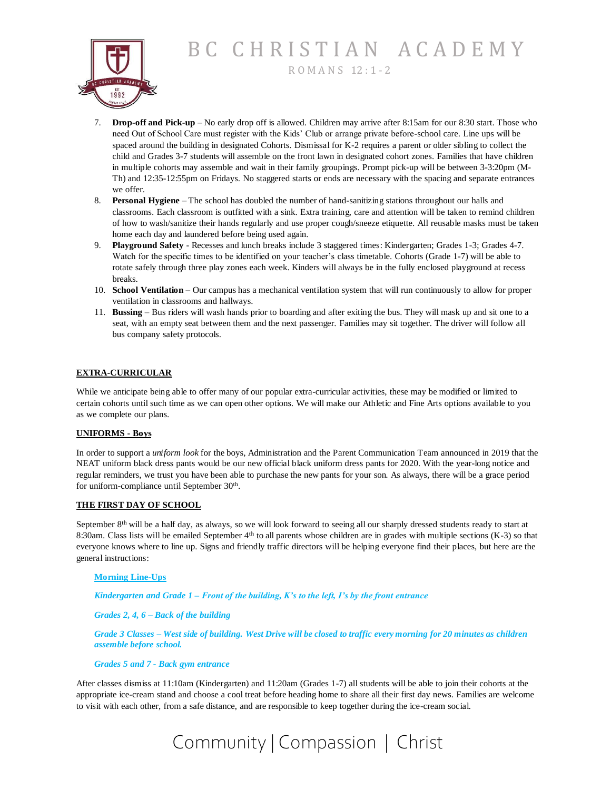BC CHRISTIAN ACADEMY

<sup>R</sup> <sup>O</sup> <sup>M</sup> <sup>A</sup> <sup>N</sup> S 12 : 1 - <sup>2</sup>



- 7. **Drop-off and Pick-up** No early drop off is allowed. Children may arrive after 8:15am for our 8:30 start. Those who need Out of School Care must register with the Kids' Club or arrange private before-school care. Line ups will be spaced around the building in designated Cohorts. Dismissal for K-2 requires a parent or older sibling to collect the child and Grades 3-7 students will assemble on the front lawn in designated cohort zones. Families that have children in multiple cohorts may assemble and wait in their family groupings. Prompt pick-up will be between 3-3:20pm (M-Th) and 12:35-12:55pm on Fridays. No staggered starts or ends are necessary with the spacing and separate entrances we offer.
- 8. **Personal Hygiene** The school has doubled the number of hand-sanitizing stations throughout our halls and classrooms. Each classroom is outfitted with a sink. Extra training, care and attention will be taken to remind children of how to wash/sanitize their hands regularly and use proper cough/sneeze etiquette. All reusable masks must be taken home each day and laundered before being used again.
- 9. **Playground Safety** Recesses and lunch breaks include 3 staggered times: Kindergarten; Grades 1-3; Grades 4-7. Watch for the specific times to be identified on your teacher's class timetable. Cohorts (Grade 1-7) will be able to rotate safely through three play zones each week. Kinders will always be in the fully enclosed playground at recess breaks.
- 10. **School Ventilation**  Our campus has a mechanical ventilation system that will run continuously to allow for proper ventilation in classrooms and hallways.
- 11. **Bussing**  Bus riders will wash hands prior to boarding and after exiting the bus. They will mask up and sit one to a seat, with an empty seat between them and the next passenger. Families may sit together. The driver will follow all bus company safety protocols.

## **EXTRA-CURRICULAR**

While we anticipate being able to offer many of our popular extra-curricular activities, these may be modified or limited to certain cohorts until such time as we can open other options. We will make our Athletic and Fine Arts options available to you as we complete our plans.

#### **UNIFORMS - Boys**

In order to support a *uniform look* for the boys, Administration and the Parent Communication Team announced in 2019 that the NEAT uniform black dress pants would be our new official black uniform dress pants for 2020. With the year-long notice and regular reminders, we trust you have been able to purchase the new pants for your son. As always, there will be a grace period for uniform-compliance until September 30<sup>th</sup>.

#### **THE FIRST DAY OF SCHOOL**

September 8<sup>th</sup> will be a half day, as always, so we will look forward to seeing all our sharply dressed students ready to start at 8:30am. Class lists will be emailed September 4th to all parents whose children are in grades with multiple sections (K-3) so that everyone knows where to line up. Signs and friendly traffic directors will be helping everyone find their places, but here are the general instructions:

#### **Morning Line-Ups**

*Kindergarten and Grade 1 – Front of the building, K's to the left, I's by the front entrance*

*Grades 2, 4, 6 – Back of the building*

*Grade 3 Classes – West side of building. West Drive will be closed to traffic every morning for 20 minutes as children assemble before school.*

#### *Grades 5 and 7 - Back gym entrance*

After classes dismiss at 11:10am (Kindergarten) and 11:20am (Grades 1-7) all students will be able to join their cohorts at the appropriate ice-cream stand and choose a cool treat before heading home to share all their first day news. Families are welcome to visit with each other, from a safe distance, and are responsible to keep together during the ice-cream social.

# Community | Compassion | Christ